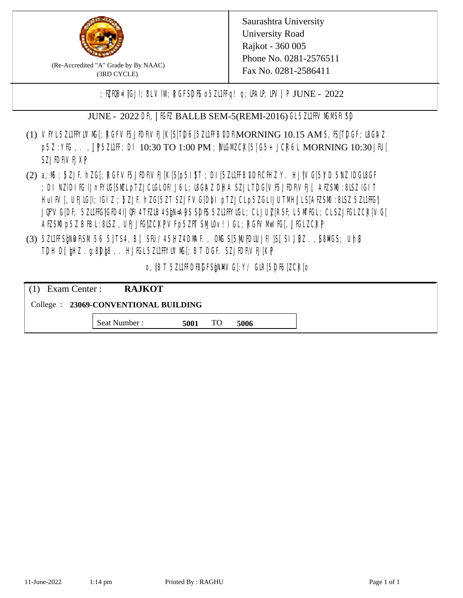

(Re-Accredited "A" Grade by By NAAC) (3RD CYCLE)

; PERB= IGJI; 8L VIW; RGFSDIS o 5ZL1 Fig! q; DAIP; DV[; P JUNE - 2022

JUNE - 2022 DR, JIGIZ BALLB SEM-5(REMI-2016) GL 5ZII HVMMSH SD

- (1) VFYL5Z11FFYLVMC[; RGFVF5JEDF\VEJ[K[S[T]D6[5Z11FFB0DF\MORNING 10.15 AM S, IS[T]DGF; I8G\AZ p5Z : YKG, . , UP5ZL1FF; DI 10:30 TO 1:00 PM ; WCGM CK[5| G5+ JCR6L MORNING 10:30 JFU[ **SZJIDFVEJXP**
- (2) a, M ; BZJE hZG[; RGFVE5JIDF\VEJ[K[S[p5I]\$T ; DI[5ZI1IFB\DDF\CHIZ Y. HJ]\VG[5|YD 5\VZ lDGI8GF ; DI NZIDI K; IJnFYIG[SMLpTZJCIGLOF/J6L; ISGAZ DHA SZJLTDG[VF5JEDF\VEJ[, AEZSM0 :8LSZ IGIT] HuIFV[, UEJG[]; IGIZ ; 5ZJF. hZG[5ZT SZJFVG[DbI pTZJCLp5ZGLIJUTMHJLS[AEZSM0 :8LSZ 5Z11HG] JQFVG[DF; 5Z11HG]GED4 LJQH 4 TEZIB4 SEN= APS SDES 5Z11 HYIGL ;CL JUL [RSF;L 5MTGL ;CL SZJFGL ZCK[ VG[ AESM p5Z BBL:8LSZ, UEJJG|ZCKPVFp5ZFT SMIOv!) GL; RGFVM EG[, JJGLZCKP
- (3) 5ZUFFS&NDF\SM.56 5}TS4, B[, SFU/45HZ4D\MAF., OMS[5|NU|PDIUJF/]S[ SI], [8Z.,[S8]ACS; Uh[8 TDH D[ $jHZ$ .g:8D $jg$ ,. HJ $KL$ 5ZL1FFYLVMS[;BT DGF. SZJEDFIVEJ[KP]

o, JBT 5Z11FDBGFSPNMG[:Y/ GIR[5DF6]ZCK[0

| $(1)$ Exam Center :                   | <b>RAJKOT</b> |      |     |      |  |  |
|---------------------------------------|---------------|------|-----|------|--|--|
| College : 23069-CONVENTIONAL BUILDING |               |      |     |      |  |  |
|                                       | Seat Number : | 5001 | TO. | 5006 |  |  |